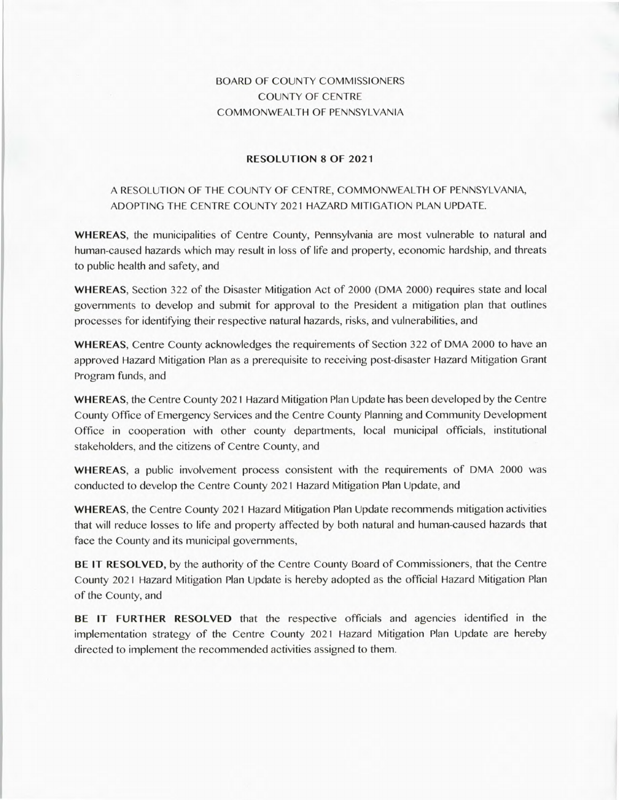## BOARD OF COUNTY COMMISSIONERS COUNTY OF CENTRE COMMONWEALTH OF PENNSYLVANIA

## **RESOLUTION 8 OF 2021**

## A RESOLUTION OF THE COUNTY OF CENTRE, COMMONWEALTH OF PENNSYLVANIA, ADOPTING THE CENTRE COUNTY 2021 HAZARD MITIGATION PLAN UPDATE.

**WHEREAS,** the municipalities of Centre County, Pennsylvania are most vulnerable to natural and human-caused hazards which may result in loss of life and property, economic hardship, and threats to public health and safety, and

**WHEREAS,** Section 322 of the Disaster Mitigation Act of 2000 (DMA 2000) requires state and local governments to develop and submit for approval to the President a mitigation plan that outlines processes for identifying their respective natural hazards, risks, and vulnerabilities, and

**WHEREAS,** Centre County acknowledges the requirements of Section 322 of DMA 2000 to have an approved Hazard Mitigation Plan as a prerequisite to receiving post-disaster Hazard Mitigation Grant Program funds, and

**WHEREAS,** the Centre County 2021 Hazard Mitigation Plan Update has been developed by the Centre County Office of Emergency Services and the Centre County Planning and Community Development Office in cooperation with other county departments, local municipal officials, institutional stakeholders, and the citizens of Centre County, and

**WHEREAS,** a public involvement process consistent with the requirements of DMA 2000 was conducted to develop the Centre County 2021 Hazard Mitigation Plan Update, and

**WHEREAS,** the Centre County 2021 Hazard Mitigation Plan Update recommends mitigation activities that will reduce losses to life and property affected by both natural and human-caused hazards that face the County and its municipal governments,

**BE IT RESOLVED,** by the authority of the Centre County Board of Commissioners, that the Centre County 2021 Hazard Mitigation Plan Update is hereby adopted as the official Hazard Mitigation Plan of the County, and

**BE IT FURTHER RESOLVED** that the respective officials and agencies identified in the implementation strategy of the Centre County 2021 Hazard Mitigation Plan Update are hereby directed to implement the recommended activities assigned to them.